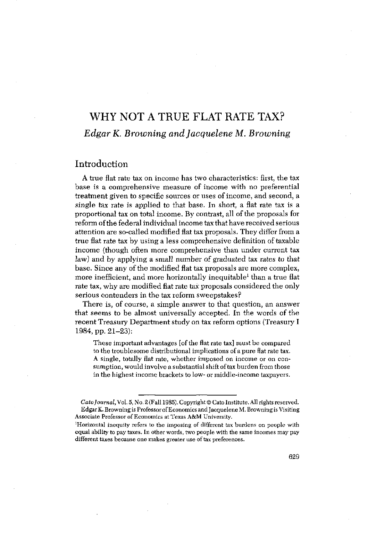# WHY NOT A TRUE FLAT RATE TAX? *Edgar K. Browning and Jacquelene M. Browning*

## Introduction

A true fiat rate tax on income has two characteristics: first, the tax base is a comprehensive measure of income with no preferential treatment given to specific sources or uses of income, and second, a single tax rate is applied to that base. In short, a flat rate tax is a proportional tax on total income. By contrast, all of the proposals for reform ofthe federal individual income tax that have received serious attention are so-called modified flat tax proposals. They differ froma true flat rate tax by using a less comprehensive definition of taxable income (though often more comprehensive than under current tax law) and by applying a small number of graduated tax rates to that base. Since any of the modified flat tax proposals are more complex, more inefficient, and more horizontally inequitable<sup>1</sup> than a true flat rate tax, why are modified flat rate tax proposals considered the only serious contenders in the tax reform sweepstakes?

There is, of course, a simple answer to that question, an answer that seems to be almost universally accepted. In the words of the recent Treasury Department study on tax reform options (Treasury I 1984, pp. 21—23):

These important advantages [of the flat rate tax] must be compared to the troublesome distributional implications of a pure flat rate tax. A single, totally flat rate, whether imposed on income or on consumption, would involve a substantial shift of tax burden from those inthe highest income brackets to low- or middle-income taxpayers.

*Cato Journal,* Vol.5, No.2 (Fall 1985). Copyright© Cato Institute, All rights reserved, EdgarK. Browning is ProfessorofEconomics and Jacquelene M. Browning is Visiting Associate Professor of Economics at Texas A&M University.

<sup>&#</sup>x27;Horizontal inequity refers to the imposing of different tax burdens on people with equal ability to pay taxes, In other words, two people with the same incomes may pay different taxes because one makes greater use of tax preferences.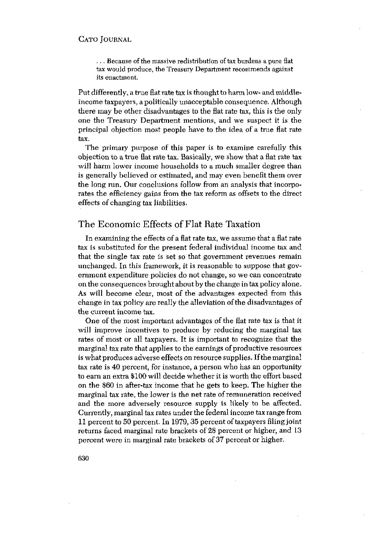... Because of the massive redistribution of tax burdens a pure flat tax would produce, the Treasury Department recommends against its enactment.

Put differently, a true flat rate tax is thought to harm low- and middleincome taxpayers, a politically unacceptable consequence. Although there may be other disadvantages to the flatrate tax, this is the only one the Treasury Department mentions, and we suspect it is the principal objection most people have to the idea of a true flat rate tax.

The primary purpose of this paper is to examine carefully this objection to a true fiatrate tax. Basically, we show that a fiat rate tax will harm lower income households to a much smaller degree than is generally believed or estimated, and may even benefit them over the long run. Our conclusions follow from an analysis that incorporates the efficiency gains from the tax reform as offsets to the direct effects of changing tax liabilities,

## The Economic Effects of Flat Rate Taxation

In examining the effects of a flatrate tax, we assume that a flat rate tax is substituted for the present federal individual income tax and that the single tax rate is set so that government revenues remain unchanged. In this framework, it is reasonable to suppose that government expenditure policies do not change, so we can concentrate on the consequences brought about by the change in tax policy alone. As will become clear, most of the advantages expected from this change in tax policy are really the alleviation of the disadvantages of the current income tax.

One of the most important advantages of the flat rate tax is that it will improve incentives to produce by reducing the marginal tax rates of most or all taxpayers. It is important to recognize that the marginal tax rate that applies to the earnings of productive resources iswhat produces adverse effects on resource supplies. Ifthemarginal tax rate is 40 percent, for instance, a person who has an opportunity to earn an extra \$100 will decide whether it is worth the effort based on the \$60 in after-tax income that he gets to keep. The higher the marginal tax rate, the lower is the net rate of remuneration received and the more adversely resource supply is likely to be affected. Currently, marginal tax rates under the federal income tax range from 11 percent to 50 percent. In 1979,35 percent of taxpayers filingjoint returns faced marginal rate brackets of 28 percent or higher, and 13 percent were in marginal rate brackets of 37 percent or higher.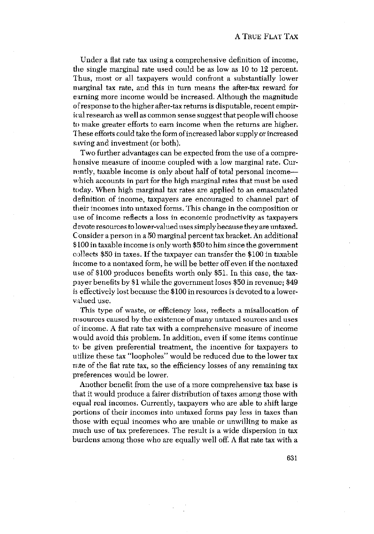Under a fiat rate tax using a comprehensive definition of income, the single marginal rate used could be as low as 10 to 12 percent. Thus, most or all taxpayers would confront a substantially lower marginal tax rate, and this in turn means the after-tax reward for earning more income would be increased. Although the magnitude of response to the higher after-tax returns is disputable, recent empirical research as well as common sense suggest that people will choose to make greater efforts to earn income when the returns are higher. These efforts could take the form ofincreased laborsupply or increased saving and investment (or both).

Two further advantages can be expected from the use of a comprehensive measure of income coupled with a low marginal rate. Currently, taxable income is only about half of total personal income which accounts in part for the high marginal rates that must be used today. When high marginal tax rates are applied to an emasculated definition of income, taxpayers are encouraged to channel part of their incomes into untaxed forms. This change in the composition or use of income reflects a loss in economic productivity as taxpayers devote resources to lower-valued uses simply because they are untaxed. Consider a person in a 50 marginal percent tax bracket. An additional \$100 in taxable income is only worth \$50 tohim since the government collects \$50 in taxes. If the taxpayer can transfer the \$100 in taxable income to a nontaxed form, he will be better offeven if the nontaxed use of \$100 produces benefits worth only \$51. In this case, the taxpayer benefits by \$1 while the government loses \$50 in revenue; \$49 is effectively lost because the \$100 in resources is devoted to a lowervalued use.

This type of waste, or efficiency loss, reflects a misallocation of resources caused by the existence of many untaxed sources and uses of income. A flat rate tax with a comprehensive measure of income would avoid this problem. In addition, even if some items continue to be given preferential treatment, the incentive for taxpayers to utilize these tax "loopholes" would be reduced due to the lower tax rate of the fiat rate tax, so the efficiency losses of any remaining tax preferences would be lower.

Another benefit from the use of a more comprehensive tax base is that it would produce a fairer distribution of taxes among those with equal real incomes. Currently, taxpayers who are able to shift large portions of their incomes into untaxed forms pay less in taxes than those with equal incomes who are unable or unwilling to make as much use of tax preferences. The result is a wide dispersion in tax burdens among those who are equally well off. A flat rate tax with a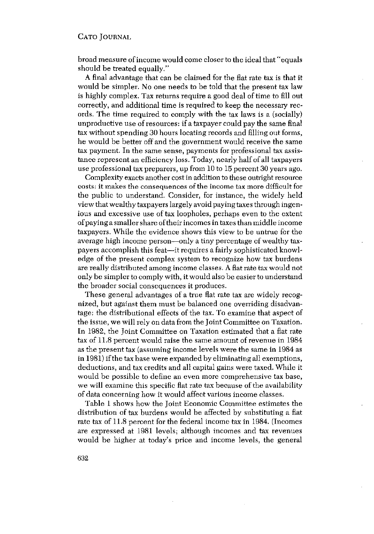broad measure ofincome would come closerto the ideal that "equals should be treated equally."

A final advantage that can be claimed for the flat rate tax is that it would be simpler. No one needs to be told that the present tax law is highly complex. Tax returns require a good deal of time to fill out correctly, and additional time is required to keep the necessary records. The time required to comply with the tax laws is a (socially) unproductive use of resources: if a taxpayer could pay the same final tax without spending 30 hours locating records and filling out forms, he would be better off and the government would receive the same tax payment. In the same sense, payments for professional tax assistance represent an efficiency loss. Today, nearly half of all taxpayers use professional tax preparers, up from 10 to 15 percent 30 years ago.

Complexity exacts another cost in addition to these outright resource costs: it makes the consequences of the income tax more difficult for the public to understand. Consider, for instance, the widely held view that wealthy taxpayers largely avoid paying taxes through ingenious and excessive use of tax loopholes, perhaps even to the extent ofpayinga smallershare of their incomes intaxes than middle income taxpayers. While the evidence shows this view to be untrue for the average high income person—only a tiny percentage of wealthy taxpayers accomplish this feat—it requires a fairly sophisticated knowledge of the present complex system to recognize how tax burdens are really distributed among income classes. A flat rate tax would not only be simpler to comply with, itwould also be easier tounderstand the broader social consequences it produces.

These general advantages of a true fiat rate tax are widely recognized, but against them must be balanced one overriding disadvantage: the distributional effects of the tax. To examine that aspect of the issue, we will rely on data from the JointCommittee on Taxation. In 1982, the Joint Committee on Taxation estimated that a flat rate tax of 11.8 percent would raise the same amount of revenue in 1984 as the present tax (assuming income levels were the same in 1984 as in 1981) ifthe tax base were expanded by eliminating all exemptions, deductions, and tax credits and all capital gains were taxed. While it would be possible to define an even more comprehensive tax base, we will examine this specific flat rate tax because of the availability of data concerning how it would affect various income classes.

Table <sup>1</sup> shows how the Joint Economic Committee estimates the distribution of tax burdens would be affected by substituting a flat rate tax of 11.8 percent for the federal income tax in 1984. (Incomes are expressed at 1981 levels; although incomes and tax revenues would be higher at today's price and income levels, the general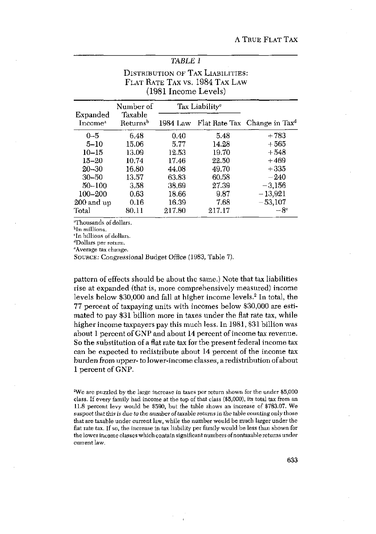## *TABLE I*

## DISTRIBUTION OF TAX LIABILITIES: FLAT RATE TAX vs. 1984 TAx LAW (1981 Income Levels)

| Expanded<br>Income <sup>a</sup> | Number of<br>Taxable<br>Returns <sup>b</sup> | Tax Liability <sup>o</sup> |        |                                          |  |
|---------------------------------|----------------------------------------------|----------------------------|--------|------------------------------------------|--|
|                                 |                                              | 1984 Law                   |        | Flat Rate Tax Change in Tax <sup>d</sup> |  |
| $0 - 5$                         | 6.48                                         | 0.40                       | 5.48   | $+783$                                   |  |
| $5 - 10$                        | 15.06                                        | 5.77                       | 14.28  | $+565$                                   |  |
| $10 - 15$                       | 13.09                                        | 12.53                      | 19.70  | $+548$                                   |  |
| $15 - 20$                       | 10.74                                        | 17.46                      | 22.50  | $+469$                                   |  |
| $20 - 30$                       | 16.80                                        | 44.08                      | 49.70  | $+335$                                   |  |
| $30 - 50$                       | 13.57                                        | 63.83                      | 60.58  | $-240\,$                                 |  |
| $50 - 100$                      | 3.58                                         | 38.69                      | 27.39  | $-3,156$                                 |  |
| 100-200                         | 0.63                                         | 18.66                      | 9.87   | $-13,921$                                |  |
| 200 and up                      | 0.16                                         | 16.39                      | 7.68   | $-53,107$                                |  |
| Total                           | 80.11                                        | 217.80                     | 217.17 | $-8^e$                                   |  |

<sup>a</sup>Thousands of dollars.

In millions.

'In billions of dollars.

dDollars per return.

'Average tax change.

SouRcE: Congressional Budget Office (1983, Table 7).

pattern of effects should be about the same.) Note that tax liabilities rise at expanded (that is, more comprehensively measured) income levels below \$30,000 and fall at higher income levels.<sup>2</sup> In total, the 77 percent of taxpaying units with incomes below \$30,000 are estimated to pay \$31 billion more in taxes under the flat rate tax, while higher income taxpayers pay this much less. In 1981, \$31 billion was about <sup>1</sup> percent of GNP and about 14 percent of income tax revenue. So the substitution of a flat rate tax for the present federal income tax can be expected to redistribute about 14 percent of the income tax burden from upper- tolower-income classes, a redistribution of about <sup>1</sup> percent of GNP.

2 We are puzzled by the large increase in taxes per return shown for the under \$5,000 class. If every family had income at the top of that class (\$5,000), its total tax from an 11.8 percent levy would be \$590, but the table shows an increase of \$783.07. We suspectthat thisis due *to the*number oFtaxeble *returns in* the table counting only those that are taxable under current law, while the number would he much larger under the flat rate tax, If so, the increase in tax liability per family would be less than shown for the lower income classes which contain significantnumbers ofnontaxable returns under current law.

633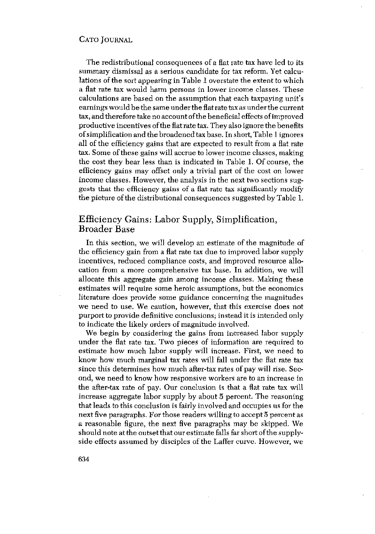The redistributional consequences of a flat rate tax have led to its summary dismissal as a serious candidate for tax reform. Yet calculations of the sort appearing in Table <sup>1</sup> overstate the extent to which a flat rate tax would harm persons in lower income classes. These calculations are based on the assumption that each taxpaying unit's earningswould be the same under the flatrate tax as under the current tax, and therefore take no account of the beneficial effects of improved productive incentives ofthe flatrate tax. They also ignore the benefits ofsimplification and the broadened tax base. In short, Table <sup>1</sup> ignores all of the efficiency gains that are expected to result from a flat rate tax. Some of these gains will accrue to lower income classes, making the cost they bear less than is indicated in Table 1. Of course, the efficiency gains may offset only a trivial part of the cost on lower income classes. However, the analysis in the next two sections suggests that the efficiency gains of a fiat rate tax significantly modify the picture ofthe distributional consequences suggested by Table 1.

## Efficiency Gains: Labor Supply, Simplification, Broader Base

In this section, we will develop an estimate of the magnitude of the efficiency gain from a flat rate tax due to improved labor supply incentives, reduced compliance costs, and improved resource allocation from a more comprehensive tax base. In addition, we will allocate this aggregate gain among income classes. Making these estimates will require some heroic assumptions, but the economics literature does provide some guidance concerning the magnitudes we need to use. We caution, however, that this exercise does not purport to provide definitive conclusions; instead it is intended only to indicate the likely orders of magnitude involved.

We begin by considering the gains from increased labor supply under the flat rate tax. Two pieces of information are required to estimate how much labor supply will increase. First, we need to know how much marginal tax rates will fall under the fiat rate tax since this determines how much after-tax rates of pay will rise. Second, we need to know how responsive workers are to an increase in the after-tax rate of pay. Our conclusion is that a flat rate tax will increase aggregate labor supply by about 5 percent. The reasoning that leads to this conclusion is fairly involved and occupies us for the next five paragraphs. For those readers willing to accept 5 percent as a reasonable figure, the next five paragraphs may be skipped. We should note at the outset that our estimate falls far short of the supplyside effects assumed by disciples of the Laffer curve. However, we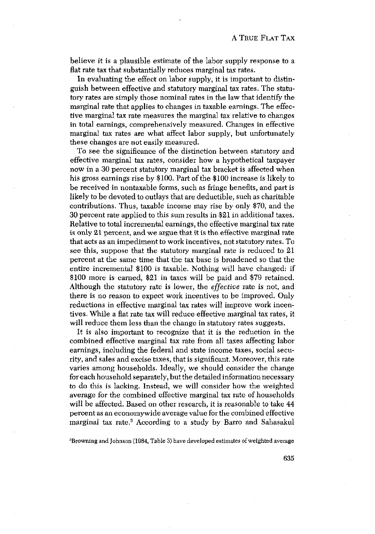believe it is a plausible estimate of the labor supply response to a flat rate tax that substantially reduces marginal tax rates.

In evaluating the effect on labor supply, it is important to distinguish between effective and statutory marginal tax rates. The statutory rates are simply those nominal rates in the law that identify the marginal rate that applies to changes in taxable earnings. The effective marginal tax rate measures the marginal tax relative to changes in total earnings, comprehensively measured. Changes in effective marginal tax rates are what affect labor supply, but unfortunately these changes are not easily measured.

To see the significance of the distinction between statutory and effective marginal tax rates, consider how a hypothetical taxpayer now in a 30 percent statutory marginal tax bracket is affected when his gross earnings rise by \$100, Part of the \$100 increase is likely to be received in nontaxable forms, such as fringe benefits, and part is likely to be devoted to outlays that are deductible, such as charitable contributions. Thus, taxable income may rise by only \$70, and the 30 percent rate applied to this sum results in \$21 in additional taxes. Relative to total incremental earnings, the effective marginal tax rate is only 21 percent, and we argue that it is the effective marginal rate that acts as an impediment to work incentives, not statutory rates. To see this, suppose that the statutory marginal rate is reduced to 21 percent at the same time that the tax base is broadened so that the entire incremental \$100 is taxable. Nothing will have changed; if \$100 more is earned, \$21 in taxes will be paid and \$79 retained. Although the statutory rate is lower, the *effective* rate is not, and there is no reason to expect work incentives to be improved. Only reductions in effective marginal tax rates will improve work incentives. While a fiat rate tax will reduce effective marginal tax rates, it will reduce them less than the change in statutory rates suggests.

It is also important to recognize that it is the reduction in the combined effective marginal tax rate from all taxes affecting labor earnings, including the federal and state income taxes, social security, and sales and excise taxes, that is significant. Moreover, this rate varies among households. Ideally, we should consider the change foreach household separately, but the detailed information necessary to do this is lacking. Instead, we will consider how the weighted average for the combined effective marginal tax rate of households will be affected. Based on other research, it is reasonable to take 44 percent as an economywide average value for the combined effective marginal tax rate.3 According to a study by Barro and Sahasakul

'Browning and Johnson (1984, Table 3) have developed estimates of weighted average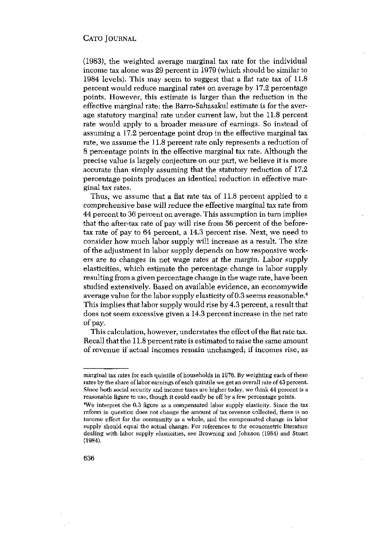(1983), the weighted average marginal tax rate for the individual income tax alone was 29 percent in 1979 (which should be similar to 1984 levels). This may seem to suggest that a fiat rate tax of 11.8 percent would reduce marginal rates on average by 17.2 percentage points. However, this estimate is larger than the reduction in the effective marginal rate: the Barro-Sahasakul estimate is for the average statutory marginal rate under current law, but the 11.8 percent rate would apply to a broader measure of earnings. So instead of assuming a 17.2 percentage point drop in the effective marginal tax rate, we assume the 11.8 percent rate only represents a reduction of 8 percentage points in the effective marginal tax rate. Although the precise value is largely conjecture on our part, we believe it is more accurate than simply assuming that the statutory reduction of 17.2 percentage points produces an identical reduction in effective marginal tax rates.

Thus, we assume that a flat rate tax of 11.8 percent applied to a comprehensive base will reduce the effective marginal tax rate from 44 percent to 36 percent on average. This assumption in turn implies that the after-tax rate of pay will rise from 56 percent of the beforetax rate of pay to 64 percent, a 14.3 percent rise. Next, we need to consider how much labor supply will increase as a result. The size of the adjustment in labor supply depends on how responsive workers are to changes in net wage rates at the margin. Labor supply elasticities, which estimate the percentage change in labor supply resulting from a given percentage change in the wage rate, have been studied extensively. Based on available evidence, an economywide average value for the labor supply elasticity of 0.3 seems reasonable.4 This implies that laborsupply would rise by 4.3 percent, a result that does not seem excessive given a 14.3 percent increase in the net rate of pay.

This calculation, however, understates the effect of the flat rate tax. Recall that the 11.8 percent rate is estimated to raise the same amount of revenue if actual incomes remain unchanged; if incomes rise, as

marginal tax rates for each quintile of households in 1976. By weighting each of these rates by the share of labor earnings of each quintile we get an overall rate of 43 percent. Since both social security and income taxes are higher today, we think 44 percent is a reasonable figure to usc, though it could easily he off by a fewpercentage points. <sup>4</sup>

We interpret the 0.3 figure as a compensated labor supply elasticity. Since the tax reform in question does not change the amount of tax revenue collected, there is no income effect for the community as a whole, and the compensated change in labor supply should equal the actual change, For references to the econometric literature dealing with labor supply elasticities, see Browning and Johnson (1984) and Stuart (1984).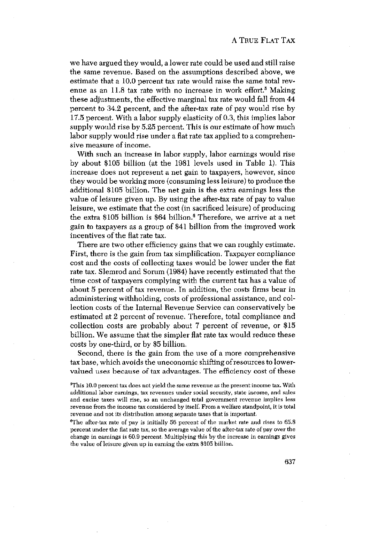we have argued they would, a lower rate could be used and still raise the same revenue. Based on the assumptions described above, we estimate that a 10.0 percent tax rate would raise the same total revenue as an  $11.8$  tax rate with no increase in work effort.<sup>5</sup> Making these adjustments, the effective marginal tax rate would fall from 44 percent to 34.2 percent, and the after-tax rate of pay would rise by 17.5 percent. With a labor supply elasticity of 0.3, this implies labor supply would rise by 5.25 percent. This is our estimate of how much labor supply would rise under a flat rate tax applied to a comprehensive measure of income.

With such an increase in labor supply, labor earnings would rise by about \$105 billion (at the 1981 levels used in Table 1). This increase does not represent a net gain to taxpayers, however, since they would be working more (consuming less leisure) to produce the additional \$105 billion. The net gain is the extra earnings less the value of leisure given up. By using the after-tax rate of pay to value leisure, we estimate that the cost (in sacrificed leisure) of producing the extra  $$105$  billion is  $$64$  billion.<sup>6</sup> Therefore, we arrive at a net gain to taxpayers as a group of \$41 billion from the improved work incentives of the flat rate tax.

There are two other efficiency gains that we can roughly estimate. First, there is the gain from tax simplification. Taxpayer compliance cost and the costs of collecting taxes would be lower under the fiat rate tax. Slemrod and Sorum (1984) have recently estimated that the time cost of taxpayers complying with the current tax has a value of about 5 percent of tax revenue. In addition, the costs firms bear in administering withholding, costs of professional assistance, and collection costs of the Internal Revenue Service can conservatively be estimated at 2 percent of revenue. Therefore, total compliance and collection costs are probably about 7 percent of revenue, or \$15 billion. We assume that the simpler fiat rate tax would reduce these costs by one-third, or by \$5 billion.

Second, there is the gain from the use of a more comprehensive tax base, which avoids the uneconomic shifting of resources to lowervalued uses because of tax advantages. The efficiency cost of these

 $^6$ The after-tax rate of pay is initially 56 percent of the market rate and rises to 65.8 percent under the flat rate tax, so the average value of the after-tax rate of pay over the change in earnings is 60.9 percent. Multiplying this by the increase in earnings gives the value of leisure given up in earning the extra \$105 billion,

 $5$ This 10.0 percent tax does not yield the same revenue as the present income tax. With additional labor earnings, tax revenues under social security, state income, and sales and excise taxes will rise, so an unchanged total government revenue implies less revenue from the income tax considered by itself. From a welfare standpoint, it is total revenue and not its distribution among separate taxes that is important.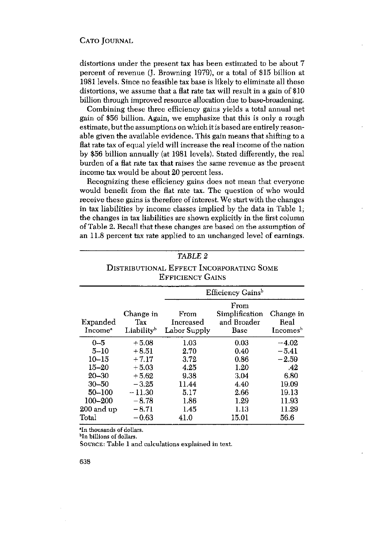distortions under the present tax has been estimated to be about <sup>7</sup> percent of revenue (J. Browning 1979), or a total of \$15 billion at 1981 levels. Since no feasible tax base is likely to eliminate all these distortions, we assume that a flat rate tax will result in a gain of \$10 billion through improved resource allocation due to base-broadening.

Combining these three efficiency gains yields a total annual net gain of \$56 billion. Again, we emphasize that this is only a rough estimate, butthe assumptions on which itis based are entirely reasonable given the available evidence. This gain means that shifting to a flat rate tax of equal yield will increase the real income of the nation by \$56 billion annually (at 1981 levels). Stated differently, the real burden of a flat rate tax that raises the same revenue as the present income tax would be about 20 percent less.

Recognizing these efficiency gains does not mean that everyone would benefit from the fiat rate tax. The question of who would receive these gains is therefore of interest.We start with the changes in tax liabilities by income classes implied by the data in Table 1; the changes in tax liabilities are shown explicitly in the first column of Table 2. Recall that these changes are based on the assumption of an 11.8 percent tax rate applied to an unchanged level of earnings.

| TABLE 2<br>DISTRIBUTIONAL EFFECT INCORPORATING SOME<br><b>EFFICIENCY GAINS</b>                                 |                                                                                                  |                                                                       |                                                                      |                                                                                  |  |  |  |  |  |
|----------------------------------------------------------------------------------------------------------------|--------------------------------------------------------------------------------------------------|-----------------------------------------------------------------------|----------------------------------------------------------------------|----------------------------------------------------------------------------------|--|--|--|--|--|
|                                                                                                                |                                                                                                  |                                                                       |                                                                      |                                                                                  |  |  |  |  |  |
| Expanded<br>Income <sup>a</sup>                                                                                | Change in<br>Tax<br>Liability <sup>b</sup>                                                       | From<br>Increased<br>Labor Supply                                     | From<br>Simplification<br>and Broader<br>Base                        | Change in<br>Real<br>Incomes <sup>b</sup>                                        |  |  |  |  |  |
| $0 - 5$<br>$5 - 10$<br>$10 - 15$<br>15–20<br>$20 - 30$<br>$30 - 50$<br>$50 - 100$<br>$100 - 200$<br>200 and up | $+5.08$<br>$+8.51$<br>$+7.17$<br>$+5.03$<br>$+5.62$<br>$-3.25$<br>$-11.30$<br>$-8.78$<br>$-8.71$ | 1.03<br>2.70<br>3.72<br>4.25<br>9.38<br>11.44<br>5.17<br>1.86<br>1.45 | 0.03<br>0.40<br>0.86<br>1.20<br>3.04<br>4.40<br>2.66<br>1.29<br>1.13 | $-4.02$<br>$-5.41$<br>$-2.59$<br>.42<br>6.80<br>19.09<br>19.13<br>11.93<br>11.29 |  |  |  |  |  |
| Total                                                                                                          | $-0.63$                                                                                          | 41.0                                                                  | 15.01                                                                | 56.6                                                                             |  |  |  |  |  |

**Heading 15 and 16 millions** of dollars.

SOURCE: Table 1 and calculations explained in text.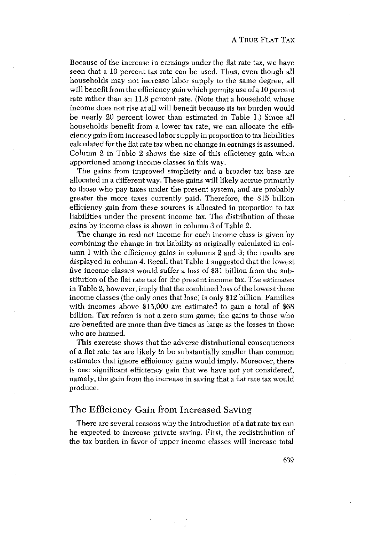Because of the increase in earnings under the fiat rate tax, we have seen that a 10 percent tax rate can be used, Thus, even though all households may not increase labor supply to the same degree, all will benefit from the efficiency gain which permits use of a 10 percent rate rather than an 11.8 percent rate. (Note that a household whose income does not rise at all will benefit because its tax burden would be nearly 20 percent lower than estimated in Table 1.) Since all households benefit from a lower tax rate, we can allocate the efficiency gain from increased labor supply inproportion totax liabilities calculated for the flatrate tax when no change inearnings is assumed, Column 2 in Table 2 shows the size of this efficiency gain when apportioned among income classes in this way.

The gains from improved simplicity and a broader tax base are allocated in a different way. These gains will likely accrue primarily to those who pay taxes under the present system, and are probably greater the more taxes currently paid. Therefore, the \$15 billion efficiency gain from these sources is allocated in proportion to tax liabilities under the present income tax. The distribution of these gains by income class is shown in column 3 of Table 2.

The change in real net income for each income class is given by combining the change in tax liability as originally calculated in column <sup>1</sup> with the efficiency gains in columns 2 and 3; the results are displayed in column 4. Recall that Table <sup>1</sup> suggested that the lowest five income classes would suffer a loss of \$31 billion from the substitution of the flat rate tax for the present income tax. The estimates in Table 2, however, imply that the combined loss of the lowest three income classes (the only ones that lose) is only \$12 billion. Families with incomes above \$15,000 are estimated to gain a total of \$68 billion. Tax reform is not a zero sum game; the gains to those who are benefited are more than five times as large as the losses to those who are harmed.

This exercise shows that the adverse distributional consequences of a fiat rate tax are likely to be substantially smaller than common estimates that ignore efficiency gains would imply. Moreover, there is one significant efficiency gain that we have not yet considered, namely, the gain from the increase in saving that a fiat rate tax would produce.

#### The Efficiency Gain from Increased Saving

There are several reasons why the introduction of a fiat rate tax can be expected to increase private saving. First, the redistribution of the tax burden in favor of upper income classes will increase total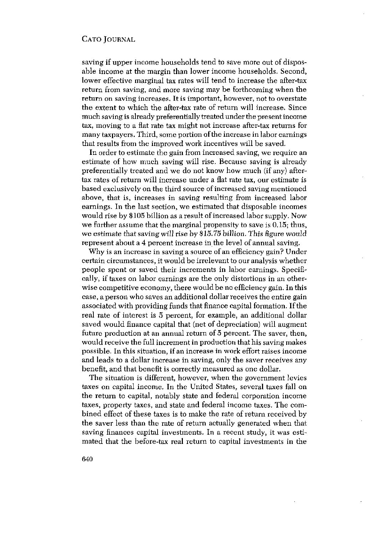saving if upper income households tend to save more out of disposable income at the margin than lower income households. Second, lower effective marginal tax rates will tend to increase the after-tax return from saving, and more saving may be forthcoming when the return on saving increases. It is important, however, not to overstate the extent to which the after-tax rate of return will increase. Since much saving is already preferentially treated under the present income tax, moving to a fiat rate tax might not increase after-tax returns for many taxpayers. Third, some portion of the increase in labor earnings that results from the improved work incentives will be saved.

In order to estimate the gain from increased saving, we require an estimate of how much saving will rise. Because saving is already preferentially treated and we do not know how much (if any) aftertax rates of return will increase under a fiat rate tax, our estimate is based exclusively on the third source of increased saving mentioned above, that is, increases in saving resulting from increased labor earnings. In the last section, we estimated that disposable incomes would rise by \$105 billion as a result of increased labor supply. Now we further assume that the marginal propensity to save is 0.15; thus, we estimate that saving will rise by \$15.75 billion. This figure would represent about a 4 percent increase in the level of annual saving.

Why is an increase in saving a source of an efficiency gain? Under certain circumstances, it would be irrelevant to our analysis whether people spent or saved their increments in labor earnings. Specifically, if taxes on labor earnings are the only distortions in an otherwise competitive economy, there would be no efficiency gain. In this case, a person who saves an additional dollar receives the entire gain associated with providing funds that finance capital formation. If the real rate of interest is 5 percent, for example, an additional dollar saved would finance capital that (net of depreciation) will augment future production at an annual return of 5 percent. The saver, then, would receive the full increment in production that his saving makes possible. In this situation, if an increase in work effort raises income and leads to a dollar increase in saving, only the saver receives any benefit, and that benefit is correctly measured as one dollar.

The situation is different, however, when the government levies taxes on capital income. In the United States, several taxes fall on the return to capital, notably state and federal corporation income taxes, property taxes, and state and federal income taxes. The combined effect of these taxes is to make the rate of return received by the saver less than the rate of return actually generated when that saving finances capital investments. In a recent study, it was estimated that the before-tax real return to capital investments in the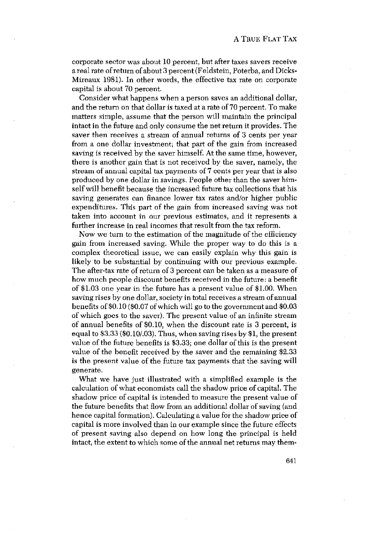corporate sector was about 10 percent, but after taxes savers receive a real rate of return of about 3 percent (Feldstein, Poterba, and Dicks-Mireaux 1981). In other words, the effective tax rate on corporate capital is about 70 percent.

Consider what happens when a person saves an additional dollar, and the return on that dollar is taxed at a rate of 70 percent. To make matters simple, assume that the person will maintain the principal intact in the future and only consume the net return it provides. The saver then receives a stream of annual returns of 3 cents per year from a one dollar investment; that part of the gain from increased saving is received by the saver himself. At the same time, however, there is another gain that is not received by the saver, namely, the stream of annual capital tax payments of 7 cents per year that is also produced by one dollar in savings. People other than the saver himself will benefit because the increased future tax collections that his saving generates can finance lower tax rates and/or higher public expenditures. This part of the gain from increased saving was not taken into account in our previous estimates, and it represents a further increase in real incomes that result from the tax reform.

Now we turn to the estimation of the magnitude of the efficiency gain from increased saving. While the proper way to do this is a complex theoretical issue, we can easily explain why this gain is likely to be substantial by continuing with our previous example. The after-tax rate of return of 3 percent can be taken as a measure of how much people discount benefits received in the future: a benefit of \$1.03 one year in the future has a present value of \$1.00. When saving rises by one dollar, society in total receives a stream of annual benefits of \$0.10 (\$0.07 ofwhich will go to the government and \$0.03 of which goes to the saver). The present value of an infinite stream of annual benefits of \$0.10, when the discount rate is 3 percent, is equal to  $$3.33$  ( $$0.10$ / $.03$ ). Thus, when saving rises by  $$1$ , the present value of the future benefits is \$3.33; one dollar of this is the present value of the benefit received by the saver and the remaining \$2.33 is the present value of the future tax payments that the saving will generate.

What we have just illustrated with a simplified example is the calculation of what economists call the shadow price of capital. The shadow price of capital is intended to measure the present value of the future benefits that flow from an additional dollar of saving (and hence capital formation). Calculating a value for the shadow price of capital is more involved than in our example since the future effects of present saving also depend on how long the principal is held intact, the extent to which some of the annual net returns may them-

641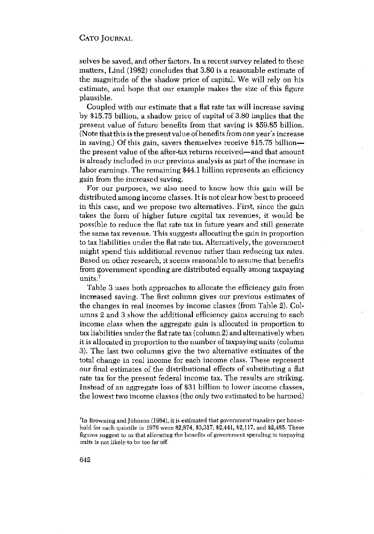selves be saved, and other factors. In a recentsurvey related to these matters, Lind (1982) concludes that 3.80 is a reasonable estimate of the magnitude of the shadow price of capital. We will rely on his estimate, and hope that our example makes the size of this figure plausible.

Coupled with our estimate that a fiat rate tax will increase saving by \$15.75 billion, a shadow price of capital of 3.80 implies that the present value of future benefits from that saving is \$59.85 billion. (Note that this is the presentvalue ofbenefits from one year's increase in saving.) Of this gain, savers themselves receive \$15.75 billion the present value of the after-tax returns received—and that amount is already included in our previous analysis as part of the increase in labor earnings. The remaining \$44.1 billion represents an efficiency gain from the increased saving.

For our purposes, we also need to know how this gain will be distributed among income classes. It is not clear how best to proceed in this case, and we propose two alternatives. First, since the gain takes the form of higher future capital tax revenues, it would be possible to reduce the flat rate tax in future years and still generate the same tax revenue. This suggests allocating the gain in proportion to tax liabilities under the fiat rate tax. Alternatively, the government might spend this additional revenue rather than reducing tax rates. Based on other research, it seems reasonable to assume that benefits from government spending are distributed equally among taxpaying units.<sup>7</sup>

Table 3 uses both approaches to allocate the efficiency gain from increased saving. The first column gives our previous estimates of the changes in real incomes by income classes (from Table 2). Columns 2 and 3 show the additional efficiency gains accruing to each income class when the aggregate gain is allocated in proportion to tax liabilities under the flatrate tax (column 2) and alternatively when it is allocated in proportion to the number of taxpaying units (column 3). The last two columns give the two alternative estimates of the total change in real income for each income class. These represent our final estimates of the distributional effects of substituting a flat rate tax for the present federal income tax. The results are striking. Instead of an aggregate loss of \$31 billion to lower income classes, the lowest two income classes (the only two estimated to be harmed)

<sup>&</sup>lt;sup>7</sup>In Browning and Johnson (1984), it is estimated that government transfers per household for each quintile in 1976 were \$2,874, \$3,317, \$2,441, \$2,117, and \$2,485. These figures suggest to us that allocating the benefits ofgovernment spending to taxpaying units is not likely to he too far off.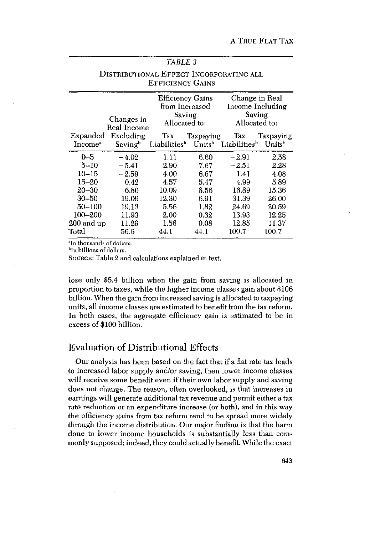| TABLE 3                                                                                                    |                                                                                   |                                                                        |                                                                      |                                                                              |                                                                           |  |  |  |  |
|------------------------------------------------------------------------------------------------------------|-----------------------------------------------------------------------------------|------------------------------------------------------------------------|----------------------------------------------------------------------|------------------------------------------------------------------------------|---------------------------------------------------------------------------|--|--|--|--|
| DISTRIBUTIONAL EFFECT INCORPORATING ALL<br><b>EFFICIENCY GAINS</b>                                         |                                                                                   |                                                                        |                                                                      |                                                                              |                                                                           |  |  |  |  |
|                                                                                                            | Changes in<br>Real Income                                                         | <b>Efficiency Gains</b><br>from Increased<br>Saving<br>Allocated to:   |                                                                      | Change in Real<br>Income Including<br>Saving<br>Allocated to:                |                                                                           |  |  |  |  |
| Expanded<br>Income <sup>a</sup>                                                                            | Excluding<br>Savingb                                                              | Tax                                                                    | Taxpaying                                                            | Tax<br>Liabilities <sup>b</sup> Units <sup>b</sup> Liabilities <sup>b</sup>  | Taxpaying<br>Units <sup>b</sup>                                           |  |  |  |  |
| $0 - 5$<br>$5 - 10$<br>$10 - 15$<br>$15 - 20$<br>$20 - 30$<br>$30 - 50$<br>50–100<br>100-200<br>200 and up | $-4.02$<br>$-5.41$<br>$-2.59$<br>0.42<br>6.80<br>19.09<br>19.13<br>11.93<br>11.29 | 1.11<br>2.90<br>4.00<br>4.57<br>10.09<br>12.30<br>5.56<br>2.00<br>1.56 | 6.60<br>7.67<br>6.67<br>5.47<br>8.56<br>6.91<br>1.82<br>0.32<br>0.08 | $-2.91$<br>-251<br>1.41<br>4.99<br>16.89<br>31.39<br>24.69<br>13.93<br>12.85 | 2.58<br>2.28<br>4.08<br>5.89<br>15.36<br>26.00<br>20.59<br>12.25<br>11.37 |  |  |  |  |
| Total                                                                                                      | 56.6                                                                              | 44.1                                                                   | 44.1                                                                 | 100.7                                                                        | 100.7                                                                     |  |  |  |  |

<sup>a</sup>In thousands of dollars.

<sup>b</sup>In billions of dollars,

SOURCE: Table 2 and calculations explained in text.

lose only \$5.4 billion when the gain from saving is allocated in proportion to taxes, while the higher income classes gainabout \$106 billion. When the gain from increased saving is allocated to taxpaying units, all income classes are estimated to benefit from the tax reform. In both cases, the aggregate efficiency gain is estimated to be in excess of \$100 billion.

## Evaluation of Distributional Effects

Our analysis has been based on the fact that if a flat rate tax leads to increased labor supply and/or saving, then lower income classes will receive some benefit even if their own labor supply and saving does not change. The reason, often overlooked, is that increases in earnings will generate additional tax revenue and permit either a tax rate reduction or an expenditure increase (or both), and in this way the efficiency gains from tax reform tend to be spread more widely through the income distribution. Our major finding is that the harm done to lower income households is substantially less than commonly supposed; indeed, they could actually benefit. While the exact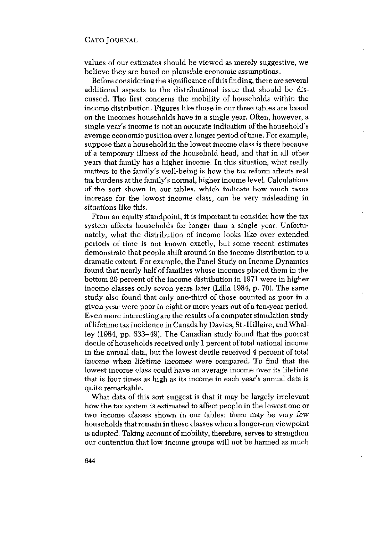values of our estimates should be viewed as merely suggestive, we believe they are based on plausible economic assumptions.

Before considering the significance of this finding, there are several additional aspects to the distributional issue that should be discussed. The first concerns the mobility of households within the income distribution. Figures like those in our three tables are based on the incomes households have in a single year. Often, however, a single year's income is not an accurate indication of the household's average economic position over a longer period of time. For example, suppose that a household in the lowest income class is there because of a temporary illness of the household head, and that in all other years that family has a higher income. In this situation, what really matters to the family's well-being is how the tax reform affects real tax burdens at the family's normal, higher income level. Calculations of the sort shown in our tables, which indicate how much taxes increase for the lowest income class, can be very misleading in situations like this.

From an equity standpoint, it is important to consider how the tax system affects households for longer than a single year. Unfortunately, what the distribution of income looks like over extended periods of time is not known exactly, but some recent estimates demonstrate that people shift around in the income distribution to a dramatic extent. For example, the Panel Study on Income Dynamics found that nearly half of families whose incomes placed them in the bottom 20 percent of the income distribution in 1971 were in higher income classes only seven years later (Lilla 1984, p. 70). The same study also found that only one-third of those counted as poor in a given year were poor in eight or more years out of a ten-year period. Even more interesting are the results of a computer simulation study oflifetime tax incidence inCanada by Davies, St.-Hillaire, and Whalley (1984, pp. 633—49). The Canadian study found that the poorest decile ofhouseholds received only <sup>1</sup> percent of total national income in the annual data, but the lowest decile received 4 percent of total income when lifetime incomes were compared. To find that the lowest income class could have an average income over its lifetime that is four times as high as its income in each year's annual data is quite remarkable.

What data of this sort suggest is that it may be largely irrelevant how the tax system is estimated to affect people in the lowest one or two income classes shown in our tables: there may be very few households that remain in these classes when a longer-run viewpoint is adopted. Taking account of mobility, therefore, serves to strengthen our contention that low income groups will not be harmed as much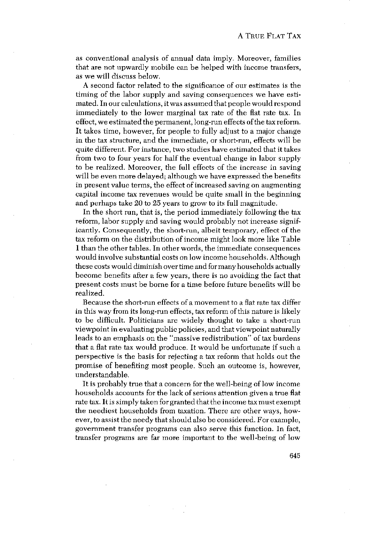as conventional analysis of annual data imply. Moreover, families that are not upwardly mobile can be helped with income transfers, as we will discuss below.

A second factor related to the significance of our estimates is the timing of the labor supply and saving consequences we have estimated. In our calculations, itwas assumed that people would respond immediately to the lower marginal tax rate of the flat rate tax. In effect, we estimated the permanent, long-run effects of the tax reform. It takes time, however, for people to fully adjust to a major change in the tax structure, and the immediate, or short-run, effects will be quite different. For instance, two studies have estimated that it takes from two to four years for half the eventual change in labor supply to be realized. Moreover, the full effects of the increase in saving will be even more delayed; although we have expressed the benefits in present value terms, the effect of increased saving on augmenting capital income tax revenues would be quite small in the beginning and perhaps take 20 to 25 years to grow to its full magnitude.

In the short run, that is, the period immediately following the tax reform, labor supply and saving would probably not increase significantly. Consequently, the short-run, albeit temporary, effect of the tax reform on the distribution of income might look more like Table <sup>1</sup> than the other tables. In other words, the immediate consequences would involve substantial costs on low income households. Although these costs would diminish over time and formany households actually become benefits after a few years, there is no avoiding the fact that present costs must he borne for a time before future benefits will be realized.

Because the short-run effects of a movement to a flat rate tax differ in this way fromits long-run effects, tax reform of this nature is likely to be difficult. Politicians are widely thought to take a short-run viewpoint in evaluating public policies, and that viewpoint naturally leads to an emphasis on the "massive redistribution" of tax burdens that a flat rate tax would produce. It would he unfortunate if such a perspective is the basis for rejecting a tax reform that holds out the promise of benefiting most people. Such an outcome is, however, understandable.

It is probably true that a concern for the well-being of low income households accounts for the lack of serious attention given a true fiat rate tax. It is simply taken for granted that the income tax must exempt the neediest households from taxation. There are other ways, however, to assistthe needy that should also be considered. For example, government transfer programs can also serve this function. In fact, transfer programs are far more important to the well-being of low

645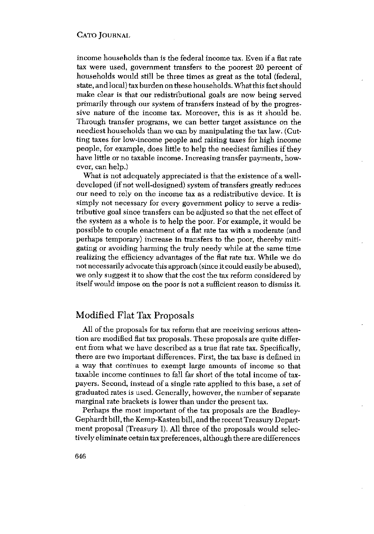income households than is the federal income tax. Even if a flat rate tax were used, government transfers to the poorest 20 percent of households would still be three times as great as the total (federal, state, and local) tax burden on these households.Whatthis factshould make clear is that our redistributional goals are now being served primarily through our system of transfers instead of by the progressive nature of the income tax. Moreover, this is as it should be. Through transfer programs, we can better target assistance on the neediest households than we can by manipulating the tax law. (Cutting taxes for low-income people and raising taxes for high income people, for example, does little to help the neediest families if they have little or no taxable income. Increasing transfer payments, however, can help.)

What is not adequately appreciated is that the existence of a welldeveloped (if not well-designed) system of transfers greatly reduces our need to rely on the income tax as a redistributive device. It is simply not necessary for every government policy to serve a redistributive goal since transfers can be adjusted so that the net effect of the system as a whole is to help the poor. For example, it would be possible to couple enactment of a fiat rate tax with a moderate (and perhaps temporary) increase in transfers to the poor, thereby mitigating or avoiding harming the truly needy while at the same time realizing the efficiency advantages of the fiat rate tax. While we do notnecessarily advocate this approach (since it could easily be abused), we only suggest it to show that the cost the tax reform considered by itself would impose on the poor is not a sufficient reason to dismiss it.

## Modified Flat Tax Proposals

All of the proposals for tax reform that are receiving serious attention are modified fiat tax proposals. These proposals are quite different from what we have described as a true flat rate tax. Specifically, there are two important differences. First, the tax base is defined in a way that continues to exempt large amounts of income so that taxable income continues to fall far short of the total income of taxpayers. Second, instead of a single rate applied to this base, a set of graduated rates is used. Generally, however, the number of separate marginal rate brackets is lower than under the present tax.

Perhaps the most important of the tax proposals are the Bradley-Gephardt bill, the Kemp-Kasten bill, and the recent Treasury Department proposal (Treasury I). All three of the proposals would selectively eliminate cetain tax preferences, although there are differences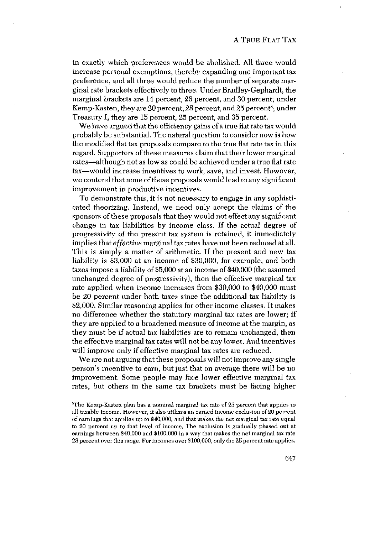in exactly which preferences would be abolished. All three would increase personal exemptions, thereby expanding one important tax preference, and all three would reduce the number of separate marginal rate brackets effectively to three. Under Bradley-Gephardt, the marginal brackets are 14 percent, 26 percent, and 30 percent; under Kemp-Kasten, they are 20 percent, 28 percent, and 25 percent<sup>8</sup>; under Treasury I, they are 15 percent, 25 percent, and 35 percent.

We have argued that the efficiency gains of a true flat rate tax would probably be substantial. The natural question toconsider now is how the modified fiat tax proposals compare to the true flat rate tax in this regard. Supporters of these measures claim that their lower marginal rates—although not as low as could be achieved under a true fiat rate tax—would increase incentives to work, save, and invest. However, we contend that none of these proposals would lead to any significant improvement in productive incentives.

To demonstrate this, it is not necessary to engage in any sophisticated theorizing. Instead, we need only accept the claims of the sponsors of these proposals that they would not effect any significant change in tax liabilities by income class. If the actual degree of progressivity of the present tax system is retained, it immediately implies that *effective* marginal tax rates have not been reduced at all. This is simply a matter of arithmetic. If the present and new tax liability is \$3,000 at an income of \$30,000, for example, and both taxes impose a liability of \$5,000 at an income of \$40,000 (the assumed unchanged degree of progressivity), then the effective marginal tax rate applied when income increases from \$30,000 to \$40,000 must be 20 percent under both taxes since the additional tax liability is \$2,000. Similar reasoning applies for other income classes. It makes no difference whether the statutory marginal tax rates are lower; if they are applied to a broadened measure of income at the margin, as they must be if actual tax liabilities are to remain unchanged, then the effective marginal tax rates will not be any lower. And incentives will improve only if effective marginal tax rates are reduced.

We are not arguing that these proposals will not improve any single person's incentive to earn, but just that on average there will be no improvement. Some people may face lower effective marginal tax rates, but others in the same tax brackets must be facing higher

<sup>&</sup>lt;sup>8</sup>The Kemp-Kasten plan has a nominal marginal tax rate of 25 percent that applies to all taxable income. However, it also utilizes an earned income exclusion of 20 percent of earnings that applies np to \$40,000, and that makes the net marginal tax rate equal to 20 percent up to that level of income. The exclusion is gradually phased out at earnings between \$40,000 and \$100,000 in a way that makes the net marginal tax rate 28 percent over this range, For lacomes over \$100,000, only the 25 percent rate applies.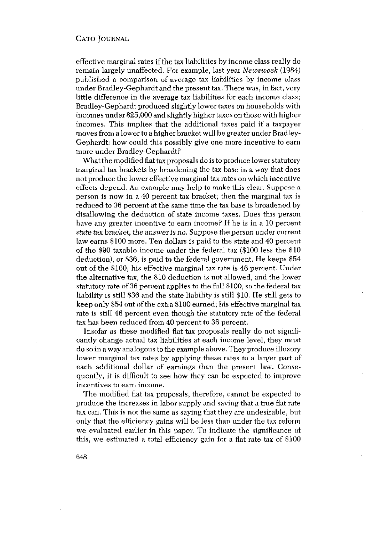effective marginal rates ifthe tax liabilities by income class really do remain largely unaffected. For example, last year *Newsweek* (1984) published a comparison of average tax liabilities by income class under Bradley-Gephardt and the present tax. There was, infact, very little difference in the average tax liabilities for each income class; Bradley-Gephardt produced slightly lower taxes on households with incomes under \$25,000 and slightly higher taxes on those with higher incomes. This implies that the additional taxes paid if a taxpayer moves from a lower to a higher bracket will be greater under Bradley-Gephardt: how could this possibly give one more incentive to earn more under Bradley-Gephardt?

What the modified flat tax proposals do is to produce lower statutory marginal tax brackets by broadening the tax base in a way that does not produce the lower effective marginal tax rates on which incentive effects depend. An example may help to make this clear. Suppose a person is now in a 40 percent tax bracket; then the marginal tax is reduced to 36 percent at the same time the tax base is broadened by disallowing the deduction of state income taxes. Does this person have any greater incentive to earn income? If he is in a 10 percent state tax bracket, the answer is no, Suppose the person under current law earns \$100 more. Ten dollars is paid to the state and 40 percent of the \$90 taxable income under the federal tax (\$100 less the \$10 deduction), or \$36, is paid to the federal government. He keeps \$34 out of the \$100; his effective marginal tax rate is 46 percent. Under the alternative tax, the \$10 deduction is not allowed, and the lower statutory rate of 36 percent applies to the full \$100, so the federal tax liability is still \$36 and the state liability is still \$10. He still gets to keep only \$54 out of the extra \$100 earned; his effective marginal tax rate is still 46 percent even though the statutory rate of the federal tax has been reduced from 40 percent to 36 percent.

Insofar as these modified flat tax proposals really do not significantly change actual tax liabilities at each income level, they must do soin a way analogous tothe example above. They produce illusory lower marginal tax rates by applying these rates to a larger part of each additional dollar of earnings than the present law. Consequently, it is difficult to see how they can he expected to improve incentives to earn income.

The modified flat tax proposals, therefore, cannot be expected to produce the increases in labor supply and saving that a true flat rate tax can. This is not the same as saying that they are undesirable, hut only that the efficiency gains will be less than under the tax reform we evaluated earlier in this paper. To indicate the significance of this, we estimated a total efficiency gain for <sup>a</sup> fiat rate tax of \$100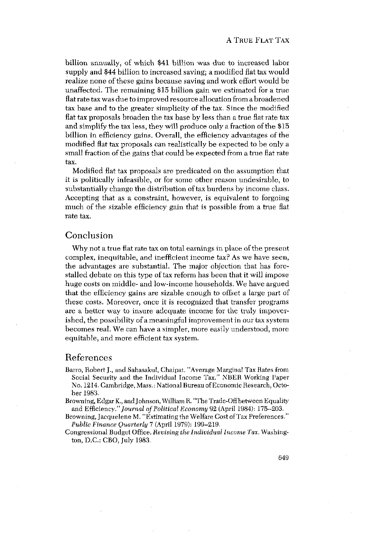billion annually, of which \$41 billion was due to increased labor supply and \$44 billion to increased saving; a modified flat tax would realize none of these gains because saving and work effort would be unaffected. The remaining \$15 billion gain we estimated for a true flat rate tax was due to improved resource allocation from a broadened tax base and to the greater simplicity of the tax. Since the modified fiat tax proposals broaden the tax base by less than <sup>a</sup> true flat rate tax and simplify the tax less, they will produce only a fraction of the \$15 billion in efficiency gains. Overall, the efficiency advantages of the modified flat tax proposals can realistically be expected to be only a small fraction of the gains that could be expected from a true flat rate tax.

Modified flat tax proposals are predicated on the assumption that it is politically infeasible, or for some other reason undesirable, to substantially change the distribution of tax burdens by income class. Accepting that as a constraint, however, is equivalent to forgoing much of the sizable efficiency gain that is possible from a true fiat rate tax.

## Conclusion

Why not a true flat rate tax on total earnings in place of the present complex, inequitable, and inefficient income tax? As we have seen, the advantages are substantial. The major objection that has forestalled debate on this type of tax reform has been that it will impose huge costs on middle- and low-income households. We have argued that the efficiency gains are sizable enough to offset a large part of these costs. Moreover, once it is recognized that transfer programs are a better way to insure adequate income for the truly impoverished, the possibility of a meaningful improvement in our tax system becomes real. We can have a simpler, more easily understood, more equitable, and more efficient tax system.

## References

- Barro, Robert J., and Sahasakul, Chaipat. "Average Marginal Tax Rates from Social Security and the Individual Income Tax." NBER Working Paper No. 1214. Cambridge, Mass.: National Bureau of Economic Research, October 1983.
- Browning, Edgar K., and Johnson, William B. "The Trade-Off between Equality and Efficiency." *Journal of Political Economy* 92 (April 1984): 175—203.
- Browning, Jacquelene M. "Estimating the Welfare Cost of Tax Preferences." *Public Finance Quarterly* 7 (April 1979): 199—219.
- Congressional Budget Office. *Revising theIndividual Income Tax.* Washing ton, D.C.: CBO, July 1983.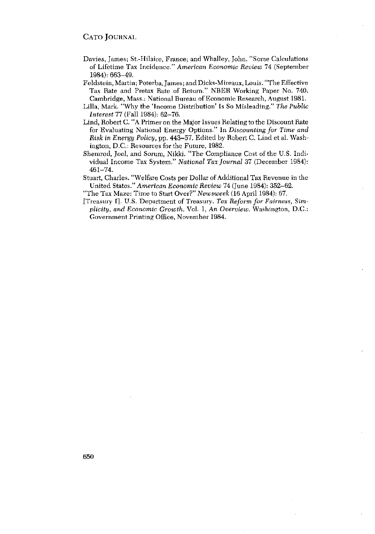- Davies, James; St,-Hilaire, France; and Whalley, John. "Some Calculations of Lifetime Tax Incidence." *American Economic Review* 74 (September 1984): 663—49.
- Feldstein, Martin; Poterba, James; and Dicks-Mireaux, Louis. "The Effective Tax Rate and Pretax Rate of Return." NBER Working Paper No. 740. Cambridge, Mass.: National Bureau of Economic Research, August 1981.
- Lilla, Mark. "Why the 'Income Distribution' Is So Misleading." *The Public Interest* 77 (Fall 1984): 62—76.
- Lind, Robert C. "A Primer on the Major Issues Relating to the Discount Rate for Evaluating National Energy Options." In *Discounting for Time and Risk in Energy Policy,* pp. 443—57. Edited by Robert C. Lind et al. Washington, D.C.: Resources for the Future, 1982.
- Shemrod, Joel, and Sorum, Nikki. "The Compliance Cost of the U.S. Individual Income Tax System." *National Tax Journal* 37 (December 1984): 461—74.
- Stuart, Charles. "Welfare Costs per Dollar of Additional Tax Revenue in the United States." *American Economic Review* 74 (June 1984): 352-62.
- "TheTax Maze: Time to Start Over?" *Newsweek* (16 April 1984): 67.
- [Treasury I]. U.S. Department of Treasury. *Tax Reform for Fairness, Simplicity, and Economic Growth.* Vol. 1, An *Overview.* Washington, D.C.: Government Printing Office, November 1984.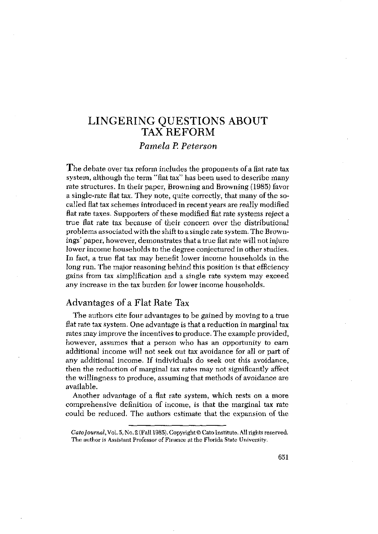## LINGERING QUESTIONS ABOUT TAX REFORM

## *Pamela P. Peterson*

The debate over tax reform includes the proponents of a fiat rate tax system, although the term "fiat tax" has been used to describe many rate structures. In their paper, Browning and Browning (1985) favor a single-rate fiat tax. They note, quite correctly, that many of the socalled fiat tax schemes introduced in recent years are really modified flat rate taxes. Supporters of these modified fiat rate systems reject a true flat rate tax because of their concern over the distributional problems associated with the shift to a single rate system. The Brownings' paper, however, demonstrates that a true fiat ratewill notinjure lower income households to the degree conjectured in other studies. In fact, a true flat tax may benefit lower income households in the long run. The major reasoning behind this position is that efficiency gains from tax simplification and <sup>a</sup> single rate system may exceed any increase in the tax burden for lower income households.

## Advantages of a Flat Rate Tax

The authors cite four advantages to be gained by moving to a true flat rate tax system. One advantage is that a reduction in marginal tax rates may improve the incentives to produce. The example provided, however, assumes that a person who has an opportunity to earn additional income will not seek out tax avoidance for all or part of any additional income. If individuals do seek out this avoidance, then the reduction of marginal tax rates may not significantly affect the willingness to produce, assuming that methods of avoidance are available.

Another advantage of a flat rate system, which rests on a more comprehensive definition of income, is that the marginal tax rate could be reduced. The authors estimate that the expansion of the

Cato Journal, Vol. 5, No. 2 (Fall 1985). Copyright @ Cato Institute. All rights reserved. The author is Assistant Professor of Finance at the Florida State University.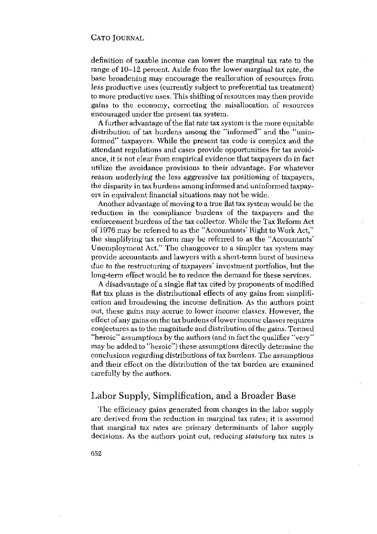definition of taxable income can lower the marginal tax rate to the range of 10—12 percent. Aside from the lower marginal tax rate, the base broadening may encourage the reallocation of resources from less productive uses (currently subject to preferential tax treatment) to more productive uses. This shifting of resources may then provide gains to the economy, correcting the misallocation of resources encouraged under the present tax system.

A further advantage of the fiat rate tax system is the more equitable distribution of tax burdens among the "informed" and the "uninformed" taxpayers. While the present tax code is complex and the attendant regulations and cases provide opportunities for tax avoidance, it is not clear from empirical evidence that taxpayers do in fact utilize the avoidance provisions to their advantage. For whatever *reason underlying* the less aggressive tax positioning of taxpayers, the disparity in tax burdens among informed and uninformed taxpayers in equivalent financial situations may not be wide.

Another advantage of moving to a true fiat tax system would be the reduction in the compliance burdens of the taxpayers and the enforcement burdens of the tax collector. While the Tax Reform Act of 1976 may be referred to as the "Accountants' Right to Work Act," the simplifying tax reform may be referred to as the "Accountants' Unemployment Act." The changeover to a simpler tax system may provide accountants and lawyers with a short-term burst of business due to the restructuring of taxpayers' investment portfolios, but the long-term effect would be to reduce the demand for these services.

A disadvantage of a single fiat tax cited by proponents of modified fiat tax plans is the distributional effects of any gains from simplification and broadening the income definition. As the authors point out, these gains may accrue to lower *income* classes. However, the effect of any gains on the tax burdens of lowerincome classes requires conjectures astothe magnitude and distribution of the gains.Termed "heroic" assumptions by the authors (and in fact the qualifier "very" may be added to "heroic") these assumptions directly determine the conclusions regarding distributions of tax burdens. The assumptions and their effect on the distribution of the tax burden are examined carefully by the authors.

## Labor Supply, Simplification, and a Broader Base

The efficiency gains generated from changes in the labor supply are derived from the reduction in marginal tax rates; it is assumed that marginal tax rates are primary determinants of labor supply decisions. As the authors point out, reducing *statutory* tax rates is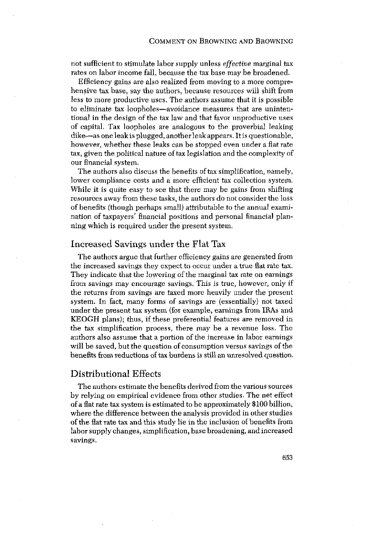not sufficient to stimulate labor supply unless *effective* marginal tax rates on labor income fall, because the tax base may be broadened.

Efficiency gains are also realized from moving to a more comprehensive tax base, say the authors, because resources will shift from less to more productive uses. The authors assume that it is possible to eliminate tax loopholes—avoidance measures that are unintentional in the design of the tax law and that favor unproductive uses of capital. Tax loopholes are analogous to the proverbial leaking dike—as one leak is plugged, anotherleak appears. It is questionable, however, whether these leaks can be stopped even under <sup>a</sup> fiat rate tax, given the political nature of tax legislation and the complexity of our financial system.

The authors also discuss the benefits of tax simplification, namely, lower compliance costs and a more efficient tax collection system. While it is quite easy to see that there may be gains from shifting resources away from these tasks, the authors do not consider the loss of benefits (though perhaps small) attributable to the annual examination of taxpayers' financial positions and personal financial planningwhich is required under the present system.

#### Increased Savings under the Flat Tax

The authors argue that further efficiency gains are generated from the increased savings they expect to occur under a true flatrate tax. They indicate that the lowering of the marginal tax rate on earnings from savings may encourage savings. This is true, however, only if the returns from savings are taxed more heavily under the present system. In fact, many forms of savings are (essentially) not taxed under the present tax system (for example, earnings from IRAs and KEOGH plans); thus, if these preferential features are removed in the tax simplification process, there may be a revenue loss, The authors also assume that a portion of the increase in labor earnings will be saved, but the question of consumption versus savings of the benefits from reductions of tax burdens is still an unresolved question.

## Distributional Effects

The authors estimate the benefits derived from the various sources by relying on empirical evidence from other studies. The net effect of a fiat rate tax system is estimated to be approximately \$100 billion, where the difference between the analysis provided in other studies ofthe fiat rate tax and this study lie in the inclusion of benefits from labor supply changes, simplification, base broadening, and increased savings.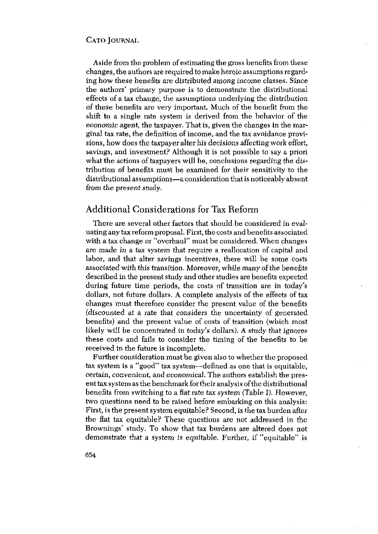Aside from the problem of estimating the gross benefits fromthese changes, the authors are required to make heroic assumptions regarding how these benefits are distributed among income classes. Since the authors' primary purpose is to demonstrate the distributional effects of a tax change, the assumptions underlying the distribution of these benefits are very important. Much of the benefit from the shift to a single rate system is derived from the behavior of the economic agent, the taxpayer. That is, given the changes in the marginal tax rate, the definition of income, and the tax avoidance provisions, how does the taxpayer alter his decisions affecting work effort, savings, and investment? Although it is not possible to say a priori what the actions of taxpayers will be, conclusions regarding the distribution of benefits must be examined for their sensitivity to the distributional assumptions—a consideration that is noticeably absent from the present study.

## Additional Considerations for Tax Reform

There are several other factors that should be considered in evaluating any tax reform proposal. First, the costs and benefits associated with a tax change or "overhaul" must be considered. When changes are made in a tax system that require <sup>a</sup> reallocation of capital and labor, and that alter savings incentives, there will be some costs associated with this transition. Moreover, while many of the benefits described in the present study and other studies are benefits expected during future time periods, the costs of transition are in today's dollars, not future dollars. A complete analysis of the effects of tax changes must therefore consider the present value of the benefits (discounted at a rate that considers the uncertainty of generated benefits) and the present value of costs of transition (which most likely will be concentrated in today's dollars). A study that ignores these costs and fails to consider the timing of the benefits to be received in the future is incomplete.

Further consideration must be given also to whether the proposed tax system is a "good" tax system—defined as one that is equitable, certain, convenient, *and* economical. The authors establish the present tax system as the benchmark fortheir analysis ofthe distributional benefits from switching to a flat rate tax system (Table I). However, two questions need to be raised before embarking on this analysis: First, is the present system equitable? Second, is the tax burden after the flat tax equitable? These questions are not addressed in the Brownings' study. To show that tax burdens are altered does not demonstrate that a system is equitable, Further, if "equitable" is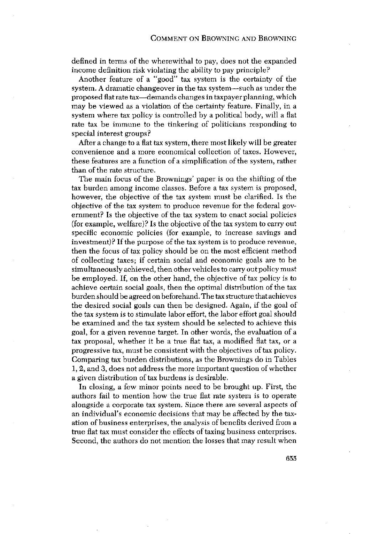defined in terms of the wherewithal to pay, does not the expanded income definition risk violating the ability to pay principle?

Another feature of a "good" tax system is the certainty of the system. A dramatic changeover in the tax system—such as under the proposed fiatrate tax—demands changes intaxpayer planning, which may be viewed as a violation of the certainty feature. Finally, in a system where tax policy is controlled by a political body, will a fiat rate tax be immune to the tinkering of politicians responding to special interest groups?

After a change to a fiat tax system, there most likely will be greater convenience and a more economical collection of taxes. However, these features are a function of a simplification of the system, rather than of the rate structure.

The main focus of the Brownings' paper is on the shifting of the tax burden among income classes. Before a tax system is proposed, however, the objective of the tax system must be clarified. Is the objective of the tax system to produce revenue for the federal government? Is the objective of the tax system to enact social policies (for example, welfare)? Is the objective of the tax system to carry out specific economic policies (for example, to increase savings and  $i$ nvestment)? If the purpose of the tax system is to produce revenue, then the focus of tax policy should be on the most efficient method of collecting taxes; if certain social and economic goals are to be simultaneously achieved, then other vehicles to carry out policy must be employed. If, on the other hand, the objective of tax policy is to achieve certain social goals, then the optimal distribution of the tax burden should be agreed on beforehand. The tax structure that achieves the desired social goals can then be designed. Again, if the goal of the tax system is to stimulate labor effort, the labor effort goal should be examined and the tax system should be selected to achieve this goal, for a given revenue target. In other words, the evaluation of a tax proposal, whether it be a true fiat tax, a modified fiat tax, or a progressive tax, must be consistent with the objectives of tax policy. Comparing tax burden distributions, as the Brownings do in Tables 1,2, and 3, does not address the more important question of whether a given distribution of tax burdens is desirable.

In closing, a few minor points need to be brought up. First, the authors fail to mention how the true fiat rate system is to operate alongside a corporate tax system. Since there are several aspects of an individual's economic decisions that may be affected by the taxation of business enterprises, the analysis of benefits derived from a true fiat tax must consider the effects of taxing business enterprises. Second, the authors do not mention the losses that may result when

655